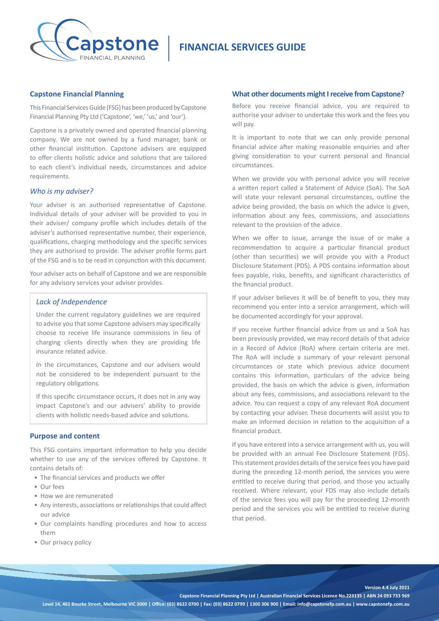

# **FINANCIAL SERVICES GUIDE**

## **Capstone Financial Planning**

This Financial Services Guide (FSG) has been produced by Capstone Financial Planning Pty Ltd ('Capstone', 'we,' 'us,' and 'our').

Capstone is a privately owned and operated financial planning company. We are not owned by a fund manager, bank or other financial institution. Capstone advisers are equipped to offer clients holistic advice and solutions that are tailored to each client's individual needs, circumstances and advice requirements.

#### *Who is my adviser?*

Your adviser is an authorised representative of Capstone. Individual details of your adviser will be provided to you in their adviser/ company profile which includes details of the adviser's authorised representative number, their experience, qualifications, charging methodology and the specific services they are authorised to provide. The adviser profile forms part of the FSG and is to be read in conjunction with this document.

Your adviser acts on behalf of Capstone and we are responsible for any advisory services your adviser provides.

# *Lack of Independence*

Under the current regulatory guidelines we are required to advise you that some Capstone advisers may specifically choose to receive life insurance commissions in lieu of charging clients directly when they are providing life insurance related advice.

In the circumstances, Capstone and our advisers would not be considered to be independent pursuant to the regulatory obligations.

If this specific circumstance occurs, it does not in any way impact Capstone's and our advisers' ability to provide clients with holistic needs-based advice and solutions.

#### **Purpose and content**

This FSG contains important information to help you decide whether to use any of the services offered by Capstone. It contains details of:

- The financial services and products we offer
- Our fees
- How we are remunerated
- Any interests, associations or relationships that could affect our advice
- Our complaints handling procedures and how to access them
- Our privacy policy

# **What other documents might I receive from Capstone?**

Before you receive financial advice, you are required to authorise your adviser to undertake this work and the fees you will pay.

It is important to note that we can only provide personal financial advice after making reasonable enquiries and after giving consideration to your current personal and financial circumstances.

When we provide you with personal advice you will receive a written report called a Statement of Advice (SoA). The SoA will state your relevant personal circumstances, outline the advice being provided, the basis on which the advice is given, information about any fees, commissions, and associations relevant to the provision of the advice.

When we offer to issue, arrange the issue of or make a recommendation to acquire a particular financial product (other than securities) we will provide you with a Product Disclosure Statement (PDS). A PDS contains information about fees payable, risks, benefits, and significant characteristics of the financial product.

If your adviser believes it will be of benefit to you, they may recommend you enter into a service arrangement, which will be documented accordingly for your approval.

If you receive further financial advice from us and a SoA has been previously provided, we may record details of that advice in a Record of Advice (RoA) where certain criteria are met. The RoA will include a summary of your relevant personal circumstances or state which previous advice document contains this information, particulars of the advice being provided, the basis on which the advice is given, information about any fees, commissions, and associations relevant to the advice. You can request a copy of any relevant RoA document by contacting your adviser. These documents will assist you to make an informed decision in relation to the acquisition of a financial product.

If you have entered into a service arrangement with us, you will be provided with an annual Fee Disclosure Statement (FDS). This statement provides details of the service fees you have paid during the preceding 12-month period, the services you were entitled to receive during that period, and those you actually received. Where relevant, your FDS may also include details of the service fees you will pay for the proceeding 12-month period and the services you will be entitled to receive during that period.

**Version 4.4 July 2021**

**Capstone Financial Planning Pty Ltd | Australian Financial Services Licence No.223135 | ABN 24 093 733 969**

**Level 14, 461 Bourke Street, Melbourne VIC 3000 | Office: (03) 8622 0700 | Fax: (03) 8622 0799 | 1300 306 900 | Email: info@capstonefp.com.au | www.capstonefp.com.au**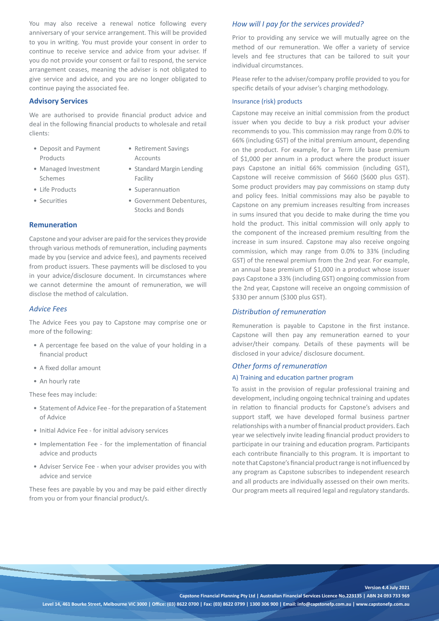You may also receive a renewal notice following every anniversary of your service arrangement. This will be provided to you in writing. You must provide your consent in order to continue to receive service and advice from your adviser. If you do not provide your consent or fail to respond, the service arrangement ceases, meaning the adviser is not obligated to give service and advice, and you are no longer obligated to continue paying the associated fee.

# **Advisory Services**

We are authorised to provide financial product advice and deal in the following financial products to wholesale and retail clients:

- Deposit and Payment Products
- Retirement Savings Accounts
- Managed Investment Schemes
- Standard Margin Lending
- 
- 
- 
- Life Products Superannuation

Facility

• Securities • Government Debentures. Stocks and Bonds

## **Remuneration**

Capstone and your adviser are paid for the services they provide through various methods of remuneration, including payments made by you (service and advice fees), and payments received from product issuers. These payments will be disclosed to you in your advice/disclosure document. In circumstances where we cannot determine the amount of remuneration, we will disclose the method of calculation.

### *Advice Fees*

The Advice Fees you pay to Capstone may comprise one or more of the following:

- A percentage fee based on the value of your holding in a financial product
- A fixed dollar amount
- An hourly rate

These fees may include:

- Statement of Advice Fee for the preparation of a Statement of Advice
- Initial Advice Fee for initial advisory services
- Implementation Fee for the implementation of financial advice and products
- Adviser Service Fee when your adviser provides you with advice and service

These fees are payable by you and may be paid either directly from you or from your financial product/s.

### *How will I pay for the services provided?*

Prior to providing any service we will mutually agree on the method of our remuneration. We offer a variety of service levels and fee structures that can be tailored to suit your individual circumstances.

Please refer to the adviser/company profile provided to you for specific details of your adviser's charging methodology.

#### Insurance (risk) products

Capstone may receive an initial commission from the product issuer when you decide to buy a risk product your adviser recommends to you. This commission may range from 0.0% to 66% (including GST) of the initial premium amount, depending on the product. For example, for a Term Life base premium of \$1,000 per annum in a product where the product issuer pays Capstone an initial 66% commission (including GST), Capstone will receive commission of \$660 (\$600 plus GST). Some product providers may pay commissions on stamp duty and policy fees. Initial commissions may also be payable to Capstone on any premium increases resulting from increases in sums insured that you decide to make during the time you hold the product. This initial commission will only apply to the component of the increased premium resulting from the increase in sum insured. Capstone may also receive ongoing commission, which may range from 0.0% to 33% (including GST) of the renewal premium from the 2nd year. For example, an annual base premium of \$1,000 in a product whose issuer pays Capstone a 33% (including GST) ongoing commission from the 2nd year, Capstone will receive an ongoing commission of \$330 per annum (\$300 plus GST).

#### *Distribution of remuneration*

Remuneration is payable to Capstone in the first instance. Capstone will then pay any remuneration earned to your adviser/their company. Details of these payments will be disclosed in your advice/ disclosure document.

#### *Other forms of remuneration*

## A) Training and education partner program

To assist in the provision of regular professional training and development, including ongoing technical training and updates in relation to financial products for Capstone's advisers and support staff, we have developed formal business partner relationships with a number of financial product providers. Each year we selectively invite leading financial product providers to participate in our training and education program. Participants each contribute financially to this program. It is important to note that Capstone's financial product range is not influenced by any program as Capstone subscribes to independent research and all products are individually assessed on their own merits. Our program meets all required legal and regulatory standards.

**Version 4.4 July 2021**

**Capstone Financial Planning Pty Ltd | Australian Financial Services Licence No.223135 | ABN 24 093 733 969 Level 14, 461 Bourke Street, Melbourne VIC 3000 | Office: (03) 8622 0700 | Fax: (03) 8622 0799 | 1300 306 900 | Email: info@capstonefp.com.au | www.capstonefp.com.au**